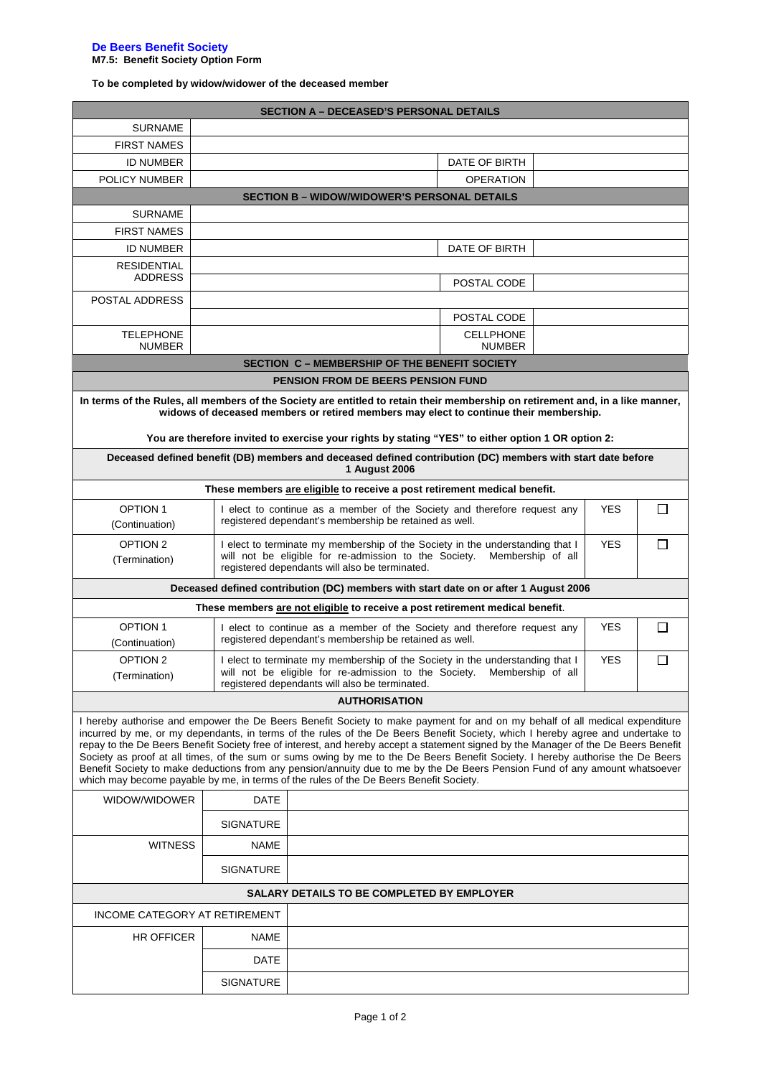### **De Beers Benefit Society M7.5: Benefit Society Option Form**

**To be completed by widow/widower of the deceased member**

| <b>SECTION A - DECEASED'S PERSONAL DETAILS</b>                                                                                                                                                                                                                                                                                                                                                                                                                                                                                                                                                                                                                                                                                                                  |                                                                                                                                                            |                                                                                                                                                                                                                                       |            |        |  |  |  |  |  |  |
|-----------------------------------------------------------------------------------------------------------------------------------------------------------------------------------------------------------------------------------------------------------------------------------------------------------------------------------------------------------------------------------------------------------------------------------------------------------------------------------------------------------------------------------------------------------------------------------------------------------------------------------------------------------------------------------------------------------------------------------------------------------------|------------------------------------------------------------------------------------------------------------------------------------------------------------|---------------------------------------------------------------------------------------------------------------------------------------------------------------------------------------------------------------------------------------|------------|--------|--|--|--|--|--|--|
| <b>SURNAME</b>                                                                                                                                                                                                                                                                                                                                                                                                                                                                                                                                                                                                                                                                                                                                                  |                                                                                                                                                            |                                                                                                                                                                                                                                       |            |        |  |  |  |  |  |  |
| <b>FIRST NAMES</b>                                                                                                                                                                                                                                                                                                                                                                                                                                                                                                                                                                                                                                                                                                                                              |                                                                                                                                                            |                                                                                                                                                                                                                                       |            |        |  |  |  |  |  |  |
| <b>ID NUMBER</b>                                                                                                                                                                                                                                                                                                                                                                                                                                                                                                                                                                                                                                                                                                                                                |                                                                                                                                                            | DATE OF BIRTH                                                                                                                                                                                                                         |            |        |  |  |  |  |  |  |
| POLICY NUMBER                                                                                                                                                                                                                                                                                                                                                                                                                                                                                                                                                                                                                                                                                                                                                   |                                                                                                                                                            | <b>OPERATION</b>                                                                                                                                                                                                                      |            |        |  |  |  |  |  |  |
|                                                                                                                                                                                                                                                                                                                                                                                                                                                                                                                                                                                                                                                                                                                                                                 |                                                                                                                                                            | <b>SECTION B - WIDOW/WIDOWER'S PERSONAL DETAILS</b>                                                                                                                                                                                   |            |        |  |  |  |  |  |  |
| <b>SURNAME</b>                                                                                                                                                                                                                                                                                                                                                                                                                                                                                                                                                                                                                                                                                                                                                  |                                                                                                                                                            |                                                                                                                                                                                                                                       |            |        |  |  |  |  |  |  |
| <b>FIRST NAMES</b>                                                                                                                                                                                                                                                                                                                                                                                                                                                                                                                                                                                                                                                                                                                                              |                                                                                                                                                            |                                                                                                                                                                                                                                       |            |        |  |  |  |  |  |  |
| <b>ID NUMBER</b>                                                                                                                                                                                                                                                                                                                                                                                                                                                                                                                                                                                                                                                                                                                                                |                                                                                                                                                            | DATE OF BIRTH                                                                                                                                                                                                                         |            |        |  |  |  |  |  |  |
| <b>RESIDENTIAL</b><br><b>ADDRESS</b>                                                                                                                                                                                                                                                                                                                                                                                                                                                                                                                                                                                                                                                                                                                            |                                                                                                                                                            |                                                                                                                                                                                                                                       |            |        |  |  |  |  |  |  |
|                                                                                                                                                                                                                                                                                                                                                                                                                                                                                                                                                                                                                                                                                                                                                                 |                                                                                                                                                            | POSTAL CODE                                                                                                                                                                                                                           |            |        |  |  |  |  |  |  |
| POSTAL ADDRESS                                                                                                                                                                                                                                                                                                                                                                                                                                                                                                                                                                                                                                                                                                                                                  |                                                                                                                                                            |                                                                                                                                                                                                                                       |            |        |  |  |  |  |  |  |
|                                                                                                                                                                                                                                                                                                                                                                                                                                                                                                                                                                                                                                                                                                                                                                 |                                                                                                                                                            | POSTAL CODE                                                                                                                                                                                                                           |            |        |  |  |  |  |  |  |
| <b>TELEPHONE</b><br><b>NUMBER</b>                                                                                                                                                                                                                                                                                                                                                                                                                                                                                                                                                                                                                                                                                                                               |                                                                                                                                                            | <b>CELLPHONE</b><br><b>NUMBER</b>                                                                                                                                                                                                     |            |        |  |  |  |  |  |  |
|                                                                                                                                                                                                                                                                                                                                                                                                                                                                                                                                                                                                                                                                                                                                                                 |                                                                                                                                                            | <b>SECTION C - MEMBERSHIP OF THE BENEFIT SOCIETY</b>                                                                                                                                                                                  |            |        |  |  |  |  |  |  |
| <b>PENSION FROM DE BEERS PENSION FUND</b>                                                                                                                                                                                                                                                                                                                                                                                                                                                                                                                                                                                                                                                                                                                       |                                                                                                                                                            |                                                                                                                                                                                                                                       |            |        |  |  |  |  |  |  |
| In terms of the Rules, all members of the Society are entitled to retain their membership on retirement and, in a like manner,<br>widows of deceased members or retired members may elect to continue their membership.                                                                                                                                                                                                                                                                                                                                                                                                                                                                                                                                         |                                                                                                                                                            |                                                                                                                                                                                                                                       |            |        |  |  |  |  |  |  |
|                                                                                                                                                                                                                                                                                                                                                                                                                                                                                                                                                                                                                                                                                                                                                                 |                                                                                                                                                            | You are therefore invited to exercise your rights by stating "YES" to either option 1 OR option 2:                                                                                                                                    |            |        |  |  |  |  |  |  |
| Deceased defined benefit (DB) members and deceased defined contribution (DC) members with start date before<br><b>1 August 2006</b>                                                                                                                                                                                                                                                                                                                                                                                                                                                                                                                                                                                                                             |                                                                                                                                                            |                                                                                                                                                                                                                                       |            |        |  |  |  |  |  |  |
|                                                                                                                                                                                                                                                                                                                                                                                                                                                                                                                                                                                                                                                                                                                                                                 |                                                                                                                                                            | These members are eligible to receive a post retirement medical benefit.                                                                                                                                                              |            |        |  |  |  |  |  |  |
| <b>OPTION 1</b><br>(Continuation)                                                                                                                                                                                                                                                                                                                                                                                                                                                                                                                                                                                                                                                                                                                               |                                                                                                                                                            | I elect to continue as a member of the Society and therefore request any<br>registered dependant's membership be retained as well.                                                                                                    | <b>YES</b> | $\Box$ |  |  |  |  |  |  |
| OPTION 2<br>(Termination)                                                                                                                                                                                                                                                                                                                                                                                                                                                                                                                                                                                                                                                                                                                                       |                                                                                                                                                            | $\Box$<br>I elect to terminate my membership of the Society in the understanding that I<br><b>YES</b><br>will not be eligible for re-admission to the Society.<br>Membership of all<br>registered dependants will also be terminated. |            |        |  |  |  |  |  |  |
| Deceased defined contribution (DC) members with start date on or after 1 August 2006                                                                                                                                                                                                                                                                                                                                                                                                                                                                                                                                                                                                                                                                            |                                                                                                                                                            |                                                                                                                                                                                                                                       |            |        |  |  |  |  |  |  |
|                                                                                                                                                                                                                                                                                                                                                                                                                                                                                                                                                                                                                                                                                                                                                                 |                                                                                                                                                            | These members are not eligible to receive a post retirement medical benefit.                                                                                                                                                          |            |        |  |  |  |  |  |  |
| <b>OPTION 1</b><br>(Continuation)                                                                                                                                                                                                                                                                                                                                                                                                                                                                                                                                                                                                                                                                                                                               | I elect to continue as a member of the Society and therefore request any<br><b>YES</b><br>$\Box$<br>registered dependant's membership be retained as well. |                                                                                                                                                                                                                                       |            |        |  |  |  |  |  |  |
| OPTION <sub>2</sub><br>(Termination)                                                                                                                                                                                                                                                                                                                                                                                                                                                                                                                                                                                                                                                                                                                            |                                                                                                                                                            | <b>YES</b><br>$\Box$<br>I elect to terminate my membership of the Society in the understanding that I<br>will not be eligible for re-admission to the Society. Membership of all<br>registered dependants will also be terminated.    |            |        |  |  |  |  |  |  |
|                                                                                                                                                                                                                                                                                                                                                                                                                                                                                                                                                                                                                                                                                                                                                                 |                                                                                                                                                            | <b>AUTHORISATION</b>                                                                                                                                                                                                                  |            |        |  |  |  |  |  |  |
|                                                                                                                                                                                                                                                                                                                                                                                                                                                                                                                                                                                                                                                                                                                                                                 |                                                                                                                                                            |                                                                                                                                                                                                                                       |            |        |  |  |  |  |  |  |
| I hereby authorise and empower the De Beers Benefit Society to make payment for and on my behalf of all medical expenditure<br>incurred by me, or my dependants, in terms of the rules of the De Beers Benefit Society, which I hereby agree and undertake to<br>repay to the De Beers Benefit Society free of interest, and hereby accept a statement signed by the Manager of the De Beers Benefit<br>Society as proof at all times, of the sum or sums owing by me to the De Beers Benefit Society. I hereby authorise the De Beers<br>Benefit Society to make deductions from any pension/annuity due to me by the De Beers Pension Fund of any amount whatsoever<br>which may become payable by me, in terms of the rules of the De Beers Benefit Society. |                                                                                                                                                            |                                                                                                                                                                                                                                       |            |        |  |  |  |  |  |  |
| WIDOW/WIDOWER                                                                                                                                                                                                                                                                                                                                                                                                                                                                                                                                                                                                                                                                                                                                                   | <b>DATE</b>                                                                                                                                                |                                                                                                                                                                                                                                       |            |        |  |  |  |  |  |  |
|                                                                                                                                                                                                                                                                                                                                                                                                                                                                                                                                                                                                                                                                                                                                                                 | <b>SIGNATURE</b>                                                                                                                                           |                                                                                                                                                                                                                                       |            |        |  |  |  |  |  |  |
| <b>WITNESS</b>                                                                                                                                                                                                                                                                                                                                                                                                                                                                                                                                                                                                                                                                                                                                                  | NAME                                                                                                                                                       |                                                                                                                                                                                                                                       |            |        |  |  |  |  |  |  |
|                                                                                                                                                                                                                                                                                                                                                                                                                                                                                                                                                                                                                                                                                                                                                                 | <b>SIGNATURE</b>                                                                                                                                           |                                                                                                                                                                                                                                       |            |        |  |  |  |  |  |  |
| <b>SALARY DETAILS TO BE COMPLETED BY EMPLOYER</b>                                                                                                                                                                                                                                                                                                                                                                                                                                                                                                                                                                                                                                                                                                               |                                                                                                                                                            |                                                                                                                                                                                                                                       |            |        |  |  |  |  |  |  |
| INCOME CATEGORY AT RETIREMENT                                                                                                                                                                                                                                                                                                                                                                                                                                                                                                                                                                                                                                                                                                                                   |                                                                                                                                                            |                                                                                                                                                                                                                                       |            |        |  |  |  |  |  |  |
| <b>HR OFFICER</b>                                                                                                                                                                                                                                                                                                                                                                                                                                                                                                                                                                                                                                                                                                                                               | <b>NAME</b>                                                                                                                                                |                                                                                                                                                                                                                                       |            |        |  |  |  |  |  |  |
|                                                                                                                                                                                                                                                                                                                                                                                                                                                                                                                                                                                                                                                                                                                                                                 | DATE                                                                                                                                                       |                                                                                                                                                                                                                                       |            |        |  |  |  |  |  |  |
|                                                                                                                                                                                                                                                                                                                                                                                                                                                                                                                                                                                                                                                                                                                                                                 | <b>SIGNATURE</b>                                                                                                                                           |                                                                                                                                                                                                                                       |            |        |  |  |  |  |  |  |